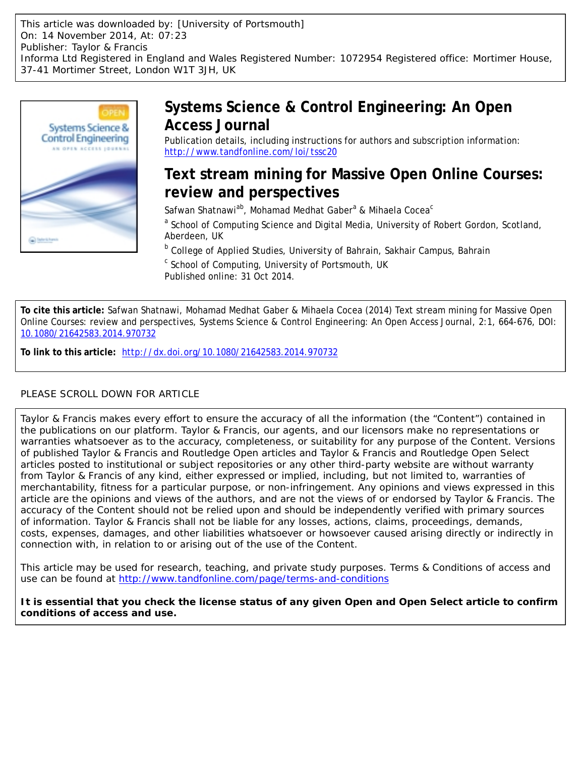This article was downloaded by: [University of Portsmouth] On: 14 November 2014, At: 07:23 Publisher: Taylor & Francis Informa Ltd Registered in England and Wales Registered Number: 1072954 Registered office: Mortimer House, 37-41 Mortimer Street, London W1T 3JH, UK



## **Systems Science & Control Engineering: An Open Access Journal**

Publication details, including instructions for authors and subscription information: <http://www.tandfonline.com/loi/tssc20>

# **Text stream mining for Massive Open Online Courses: review and perspectives**

Safwan Shatnawi<sup>ab</sup>, Mohamad Medhat Gaber<sup>a</sup> & Mihaela Cocea<sup>c</sup>

<sup>a</sup> School of Computing Science and Digital Media, University of Robert Gordon, Scotland, Aberdeen, UK

<sup>b</sup> College of Applied Studies, University of Bahrain, Sakhair Campus, Bahrain

<sup>c</sup> School of Computing, University of Portsmouth, UK Published online: 31 Oct 2014.

**To cite this article:** Safwan Shatnawi, Mohamad Medhat Gaber & Mihaela Cocea (2014) Text stream mining for Massive Open Online Courses: review and perspectives, Systems Science & Control Engineering: An Open Access Journal, 2:1, 664-676, DOI: [10.1080/21642583.2014.970732](http://www.tandfonline.com/action/showCitFormats?doi=10.1080/21642583.2014.970732)

**To link to this article:** <http://dx.doi.org/10.1080/21642583.2014.970732>

## PLEASE SCROLL DOWN FOR ARTICLE

Taylor & Francis makes every effort to ensure the accuracy of all the information (the "Content") contained in the publications on our platform. Taylor & Francis, our agents, and our licensors make no representations or warranties whatsoever as to the accuracy, completeness, or suitability for any purpose of the Content. Versions of published Taylor & Francis and Routledge Open articles and Taylor & Francis and Routledge Open Select articles posted to institutional or subject repositories or any other third-party website are without warranty from Taylor & Francis of any kind, either expressed or implied, including, but not limited to, warranties of merchantability, fitness for a particular purpose, or non-infringement. Any opinions and views expressed in this article are the opinions and views of the authors, and are not the views of or endorsed by Taylor & Francis. The accuracy of the Content should not be relied upon and should be independently verified with primary sources of information. Taylor & Francis shall not be liable for any losses, actions, claims, proceedings, demands, costs, expenses, damages, and other liabilities whatsoever or howsoever caused arising directly or indirectly in connection with, in relation to or arising out of the use of the Content.

This article may be used for research, teaching, and private study purposes. Terms & Conditions of access and use can be found at <http://www.tandfonline.com/page/terms-and-conditions>

**It is essential that you check the license status of any given Open and Open Select article to confirm conditions of access and use.**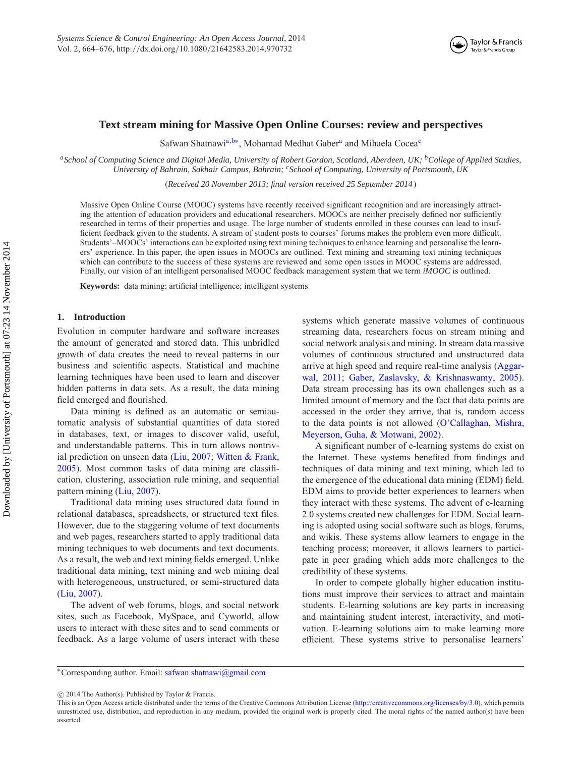

## **Text stream mining for Massive Open Online Courses: review and perspectives**

Safwan Shatnawi<sup>[a,](#page-1-0)b∗</sup>, Moh[a](#page-1-0)mad Medhat Gaber<sup>a</sup> and Mihaela Cocea<sup>c</sup>

<span id="page-1-0"></span>*aSchool of Computing Science and Digital Media, University of Robert Gordon, Scotland, Aberdeen, UK; bCollege of Applied Studies, University of Bahrain, Sakhair Campus, Bahrain; cSchool of Computing, University of Portsmouth, UK*

<span id="page-1-1"></span>(*Received 20 November 2013; final version received 25 September 2014*)

Massive Open Online Course (MOOC) systems have recently received significant recognition and are increasingly attracting the attention of education providers and educational researchers. MOOCs are neither precisely defined nor sufficiently researched in terms of their properties and usage. The large number of students enrolled in these courses can lead to insufficient feedback given to the students. A stream of student posts to courses' forums makes the problem even more difficult. Students'–MOOCs' interactions can be exploited using text mining techniques to enhance learning and personalise the learners' experience. In this paper, the open issues in MOOCs are outlined. Text mining and streaming text mining techniques which can contribute to the success of these systems are reviewed and some open issues in MOOC systems are addressed. Finally, our vision of an intelligent personalised MOOC feedback management system that we term *iMOOC* is outlined.

**Keywords:** data mining; artificial intelligence; intelligent systems

## **1. Introduction**

Evolution in computer hardware an[d](#page-1-2) software increases the amount of generated and stored data. This unbridled growth of data creates the need to reveal patterns in our business and scientific aspects. Statistical and machine learning techniques have been used to learn and discover hidden patterns in data sets. As a result, the data mining field emerged and flourished.

Data mining is defined as an automatic or semiautomatic analysis of substantial quantities of data stored in databases, text, or images to discover valid, useful, and understandable patterns. This in turn allows nontrivial prediction on unseen data [\(Liu](#page-12-0), [2007](#page-12-0); [Witten & Frank,](#page-13-0) [2005\)](#page-13-0). Most common tasks of data mining are classification, clustering, association rule mining, and sequential pattern mining [\(Liu](#page-12-0), [2007\)](#page-12-0).

Traditional data mining uses structured data found in relational databases, spreadsheets, or structured text files. However, due to the staggering volume of text documents and web pages, researchers started to apply traditional data mining techniques to web documents and text documents. As a result, the web and text mining fields emerged. Unlike traditional data mining, text mining and web mining deal with heterogeneous, unstructured, or semi-structured data [\(Liu](#page-12-0), [2007](#page-12-0)).

The advent of web forums, blogs, and social network sites, such as Facebook, MySpace, and Cyworld, allow users to interact with these sites and to send comments or feedback. As a large volume of users interact with these systems which generate massive volumes of continuous streaming data, researchers focus on stream mining and social network analysis and mining. In stream data massive volumes of continuous structured and unstructured data arri[ve at high speed and require real-time analysis \(](#page-12-1)Aggarwal, [2011;](#page-12-1) [Gaber, Zaslavsky, & Krishnaswamy](#page-12-2), [2005](#page-12-2)). Data stream processing has its own challenges such as a limited amount of memory and the fact that data points are accessed in the order they arrive, that is, random access to the data points is not all[owed \(](#page-12-3)O'Callaghan, Mishra, Meyerson, Guha, & Motwani, [2002\)](#page-12-3).

A significant number of e-learning systems do exist on the Internet. These systems benefited from findings and techniques of data mining and text mining, which led to the emergence of the educational data mining (EDM) field. EDM aims to provide better experiences to learners when they interact with these systems. The advent of e-learning 2.0 systems created new challenges for EDM. Social learning is adopted using social software such as blogs, forums, and wikis. These systems allow learners to engage in the teaching process; moreover, it allows learners to participate in peer grading which adds more challenges to the credibility of these systems.

In order to compete globally higher education institutions must improve their services to attract and maintain students. E-learning solutions are key parts in increasing and maintaining student interest, interactivity, and motivation. E-learning solutions aim to make learning more efficient. These systems strive to personalise learners'

<span id="page-1-2"></span><sup>∗</sup>Corresponding author. Email: [safwan.shatnawi@gmail.com](mailto:safwan.shatnawi@gmail.com)

c 2014 The Author(s). Published by Taylor & Francis.

This is an Open Access article distributed under the terms of the Creative Commons Attribution License [\(http://creativecommons.org/licenses/by/3.0\)](http://creativecommons.org/licenses/by/3.0), which permits unrestricted use, distribution, and reproduction in any medium, provided the original work is properly cited. The moral rights of the named author(s) have been asserted.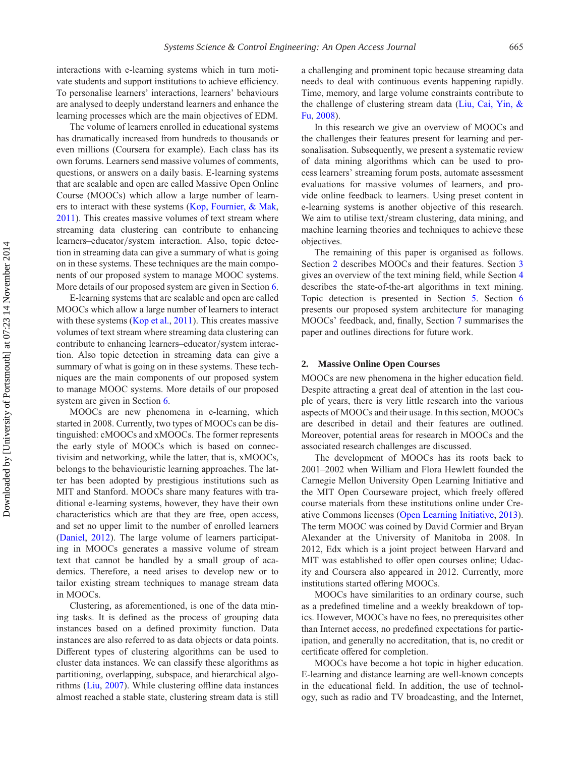interactions with e-learning systems which in turn motivate students and support institutions to achieve efficiency. To personalise learners' interactions, learners' behaviours are analysed to deeply understand learners and enhance the learning processes which are the main objectives of EDM.

The volume of learners enrolled in educational systems has dramatically increased from hundreds to thousands or even millions (Coursera for example). Each class has its own forums. Learners send massive volumes of comments, questions, or answers on a daily basis. E-learning systems that are scalable and open are called Massive Open Online Course (MOOCs) which allow a large number of learners to interact with these systems [\(Kop, Fournier, & Mak,](#page-12-4) [2011](#page-12-4)). This creates massive volumes of text stream where streaming data clustering can contribute to enhancing learners–educator/system interaction. Also, topic detection in streaming data can give a summary of what is going on in these systems. These techniques are the main components of our proposed system to manage MOOC systems. More details of our proposed system are given in Section [6.](#page-9-0)

E-learning systems that are scalable and open are called MOOCs which allow a large number of learners to interact with these systems [\(Kop et al.,](#page-12-4) [2011](#page-12-4)). This creates massive volumes of text stream where streaming data clustering can contribute to enhancing learners–educator/system interaction. Also topic detection in streaming data can give a summary of what is going on in these systems. These techniques are the main components of our proposed system to manage MOOC systems. More details of our proposed system are given in Section [6.](#page-9-0)

MOOCs are new phenomena in e-learning, which started in 2008. Currently, two types of MOOCs can be distinguished: cMOOCs and xMOOCs. The former represents the early style of MOOCs which is based on connectivisim and networking, while the latter, that is, xMOOCs, belongs to the behaviouristic learning approaches. The latter has been adopted by prestigious institutions such as MIT and Stanford. MOOCs share many features with traditional e-learning systems, however, they have their own characteristics which are that they are free, open access, and set no upper limit to the number of enrolled learners [\(Daniel](#page-12-5), [2012\)](#page-12-5). The large volume of learners participating in MOOCs generates a massive volume of stream text that cannot be handled by a small group of academics. Therefore, a need arises to develop new or to tailor existing stream techniques to manage stream data in MOOCs.

Clustering, as aforementioned, is one of the data mining tasks. It is defined as the process of grouping data instances based on a defined proximity function. Data instances are also referred to as data objects or data points. Different types of clustering algorithms can be used to cluster data instances. We can classify these algorithms as partitioning, overlapping, subspace, and hierarchical algorithms [\(Liu,](#page-12-0) [2007](#page-12-0)). While clustering offline data instances almost reached a stable state, clustering stream data is still a challenging and prominent topic because streaming data needs to deal with continuous events happening rapidly. Time, memory, and large volume constraints contribute to th[e](#page-12-6) [challenge](#page-12-6) [of](#page-12-6) [clustering](#page-12-6) [stream](#page-12-6) [data](#page-12-6) [\(](#page-12-6)Liu, Cai, Yin, & Fu, [2008\)](#page-12-6).

In this research we give an overview of MOOCs and the challenges their features present for learning and personalisation. Subsequently, we present a systematic review of data mining algorithms which can be used to process learners' streaming forum posts, automate assessment evaluations for massive volumes of learners, and provide online feedback to learners. Using preset content in e-learning systems is another objective of this research. We aim to utilise text/stream clustering, data mining, and machine learning theories and techniques to achieve these objectives.

The remaining of this paper is organised as follows. Section [2](#page-2-0) describes MOOCs and their features. Section [3](#page-3-0) gives an overview of the text mining field, while Section [4](#page-4-0) describes the state-of-the-art algorithms in text mining. Topic detection is presented in Section [5.](#page-7-0) Section [6](#page-9-0) presents our proposed system architecture for managing MOOCs' feedback, and, finally, Section [7](#page-11-0) summarises the paper and outlines directions for future work.

## <span id="page-2-0"></span>**2. Massive Online Open Courses**

MOOCs are new phenomena in the higher education field. Despite attracting a great deal of attention in the last couple of years, there is very little research into the various aspects of MOOCs and their usage. In this section, MOOCs are described in detail and their features are outlined. Moreover, potential areas for research in MOOCs and the associated research challenges are discussed.

The development of MOOCs has its roots back to 2001–2002 when William and Flora Hewlett founded the Carnegie Mellon University Open Learning Initiative and the MIT Open Courseware project, which freely offered course materials from these institutions online under Creative Commons licenses [\(Open Learning Initiative,](#page-13-1) [2013\)](#page-13-1). The term MOOC was coined by David Cormier and Bryan Alexander at the University of Manitoba in 2008. In 2012, Edx which is a joint project between Harvard and MIT was established to offer open courses online; Udacity and Coursera also appeared in 2012. Currently, more institutions started offering MOOCs.

MOOCs have similarities to an ordinary course, such as a predefined timeline and a weekly breakdown of topics. However, MOOCs have no fees, no prerequisites other than Internet access, no predefined expectations for participation, and generally no accreditation, that is, no credit or certificate offered for completion.

MOOCs have become a hot topic in higher education. E-learning and distance learning are well-known concepts in the educational field. In addition, the use of technology, such as radio and TV broadcasting, and the Internet,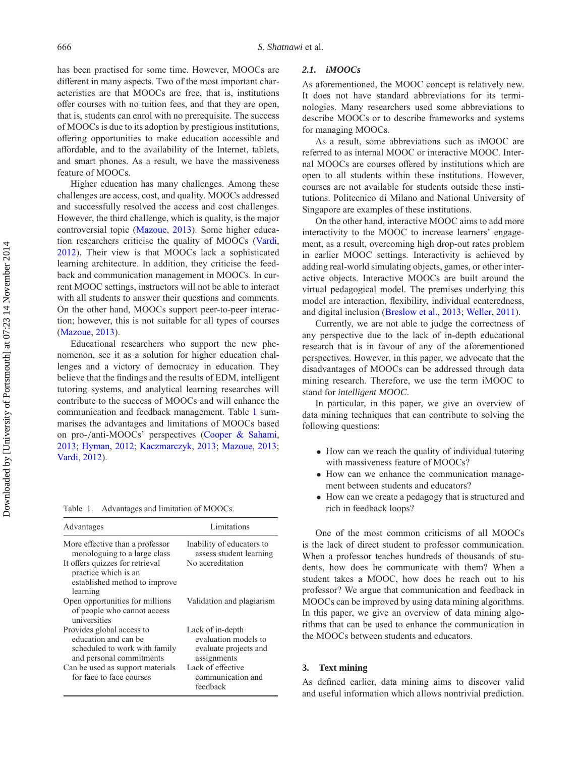has been practised for some time. However, MOOCs are different in many aspects. Two of the most important characteristics are that MOOCs are free, that is, institutions offer courses with no tuition fees, and that they are open, that is, students can enrol with no prerequisite. The success of MOOCs is due to its adoption by prestigious institutions, offering opportunities to make education accessible and affordable, and to the availability of the Internet, tablets, and smart phones. As a result, we have the massiveness feature of MOOCs.

Higher education has many challenges. Among these challenges are access, cost, and quality. MOOCs addressed and successfully resolved the access and cost challenges. However, the third challenge, which is quality, is the major controversial topic [\(Mazoue,](#page-12-7) [2013](#page-12-7)). Some higher education researchers criticise the quality of MOOCs [\(Vardi,](#page-13-2) [2012\)](#page-13-2). Their view is that MOOCs lack a sophisticated learning architecture. In addition, they criticise the feedback and communication management in MOOCs. In current MOOC settings, instructors will not be able to interact with all students to answer their questions and comments. On the other hand, MOOCs support peer-to-peer interaction; however, this is not suitable for all types of courses [\(Mazoue](#page-12-7), [2013](#page-12-7)).

Educational researchers who support the new phenomenon, see it as a solution for higher education challenges and a victory of democracy in education. They believe that the findings and the results of EDM, intelligent tutoring systems, and analytical learning researches will contribute to the success of MOOCs and will enhance the communication and feedback management. Table [1](#page-3-1) summarises the advantages and limitations of MOOCs based on pro-/anti-MOOCs' perspectives [\(Cooper & Sahami,](#page-12-8) [2013;](#page-12-8) [Hyman](#page-12-9), [2012;](#page-12-9) [Kaczmarczyk](#page-12-10), [2013;](#page-12-10) [Mazoue,](#page-12-7) [2013](#page-12-7); [Vardi](#page-13-2), [2012\)](#page-13-2).

Table 1. Advantages and limitation of MOOCs.

<span id="page-3-1"></span>

| Advantages                                                                                                                                                  | Limitations                                                                      |
|-------------------------------------------------------------------------------------------------------------------------------------------------------------|----------------------------------------------------------------------------------|
| More effective than a professor<br>monologuing to a large class<br>It offers quizzes for retrieval<br>practice which is an<br>established method to improve | Inability of educators to<br>assess student learning<br>No accreditation         |
| learning<br>Open opportunities for millions<br>of people who cannot access<br>universities                                                                  | Validation and plagiarism                                                        |
| Provides global access to<br>education and can be<br>scheduled to work with family<br>and personal commitments                                              | Lack of in-depth<br>evaluation models to<br>evaluate projects and<br>assignments |
| Can be used as support materials<br>for face to face courses                                                                                                | Lack of effective<br>communication and<br>feedback                               |

## *2.1. iMOOCs*

As aforementioned, the MOOC concept is relatively new. It does not have standard abbreviations for its terminologies. Many researchers used some abbreviations to describe MOOCs or to describe frameworks and systems for managing MOOCs.

As a result, some abbreviations such as iMOOC are referred to as internal MOOC or interactive MOOC. Internal MOOCs are courses offered by institutions which are open to all students within these institutions. However, courses are not available for students outside these institutions. Politecnico di Milano and National University of Singapore are examples of these institutions.

On the other hand, interactive MOOC aims to add more interactivity to the MOOC to increase learners' engagement, as a result, overcoming high drop-out rates problem in earlier MOOC settings. Interactivity is achieved by adding real-world simulating objects, games, or other interactive objects. Interactive MOOCs are built around the virtual pedagogical model. The premises underlying this model are interaction, flexibility, individual centeredness, and digital inclusion [\(Breslow et al.](#page-12-11), [2013](#page-12-11); [Weller,](#page-13-3) [2011\)](#page-13-3).

Currently, we are not able to judge the correctness of any perspective due to the lack of in-depth educational research that is in favour of any of the aforementioned perspectives. However, in this paper, we advocate that the disadvantages of MOOCs can be addressed through data mining research. Therefore, we use the term iMOOC to stand for *intelligent MOOC*.

In particular, in this paper, we give an overview of data mining techniques that can contribute to solving the following questions:

- How can we reach the quality of individual tutoring with massiveness feature of MOOCs?
- How can we enhance the communication management between students and educators?
- How can we create a pedagogy that is structured and rich in feedback loops?

One of the most common criticisms of all MOOCs is the lack of direct student to professor communication. When a professor teaches hundreds of thousands of students, how does he communicate with them? When a student takes a MOOC, how does he reach out to his professor? We argue that communication and feedback in MOOCs can be improved by using data mining algorithms. In this paper, we give an overview of data mining algorithms that can be used to enhance the communication in the MOOCs between students and educators.

## <span id="page-3-0"></span>**3. Text mining**

As defined earlier, data mining aims to discover valid and useful information which allows nontrivial prediction.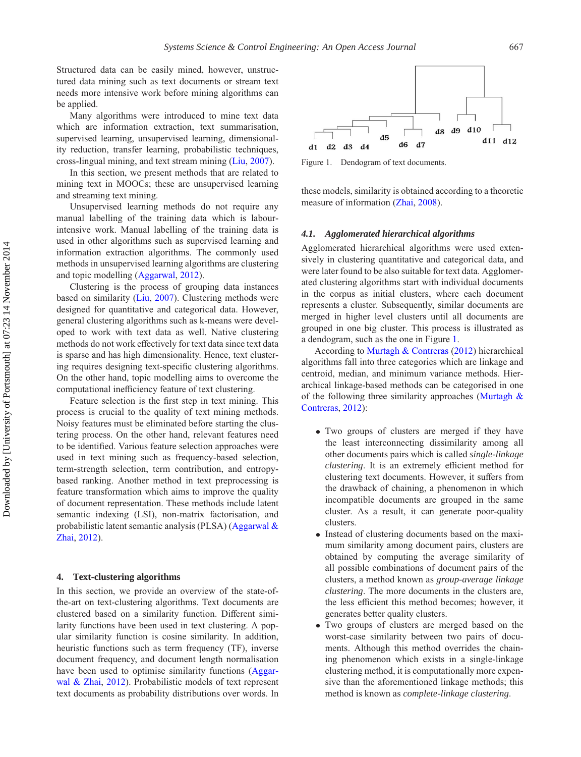Structured data can be easily mined, however, unstructured data mining such as text documents or stream text needs more intensive work before mining algorithms can be applied.

Many algorithms were introduced to mine text data which are information extraction, text summarisation, supervised learning, unsupervised learning, dimensionality reduction, transfer learning, probabilistic techniques, cross-lingual mining, and text stream mining [\(Liu,](#page-12-0) [2007](#page-12-0)).

In this section, we present methods that are related to mining text in MOOCs; these are unsupervised learning and streaming text mining.

Unsupervised learning methods do not require any manual labelling of the training data which is labourintensive work. Manual labelling of the training data is used in other algorithms such as supervised learning and information extraction algorithms. The commonly used methods in unsupervised learning algorithms are clustering and topic modelling [\(Aggarwal,](#page-12-12) [2012\)](#page-12-12).

Clustering is the process of grouping data instances based on similarity [\(Liu,](#page-12-0) [2007](#page-12-0)). Clustering methods were designed for quantitative and categorical data. However, general clustering algorithms such as k-means were developed to work with text data as well. Native clustering methods do not work effectively for text data since text data is sparse and has high dimensionality. Hence, text clustering requires designing text-specific clustering algorithms. On the other hand, topic modelling aims to overcome the computational inefficiency feature of text clustering.

Feature selection is the first step in text mining. This process is crucial to the quality of text mining methods. Noisy features must be eliminated before starting the clustering process. On the other hand, relevant features need to be identified. Various feature selection approaches were used in text mining such as frequency-based selection, term-strength selection, term contribution, and entropybased ranking. Another method in text preprocessing is feature transformation which aims to improve the quality of document representation. These methods include latent semantic indexing (LSI), non-matrix factorisation, and prob[abilistic latent semantic analysis \(PLSA\) \(](#page-12-13)Aggarwal & Zhai, [2012](#page-12-13)).

#### <span id="page-4-0"></span>**4. Text-clustering algorithms**

In this section, we provide an overview of the state-ofthe-art on text-clustering algorithms. Text documents are clustered based on a similarity function. Different similarity functions have been used in text clustering. A popular similarity function is cosine similarity. In addition, heuristic functions such as term frequency (TF), inverse document frequency, and document length normalisation have been [used to optimise similarity functions \(](#page-12-13)Aggar-wal & Zhai, [2012\)](#page-12-13). Probabilistic models of text represent text documents as probability distributions over words. In



<span id="page-4-1"></span>Figure 1. Dendogram of text documents.

these models, similarity is obtained according to a theoretic measure of information [\(Zhai,](#page-13-4) [2008\)](#page-13-4).

## *4.1. Agglomerated hierarchical algorithms*

Agglomerated hierarchical algorithms were used extensively in clustering quantitative and categorical data, and were later found to be also suitable for text data. Agglomerated clustering algorithms start with individual documents in the corpus as initial clusters, where each document represents a cluster. Subsequently, similar documents are merged in higher level clusters until all documents are grouped in one big cluster. This process is illustrated as a dendogram, such as the one in Figure [1.](#page-4-1)

According to [Murtagh & Contreras](#page-12-14) [\(2012\)](#page-12-14) hierarchical algorithms fall into three categories which are linkage and centroid, median, and minimum variance methods. Hierarchical linkage-based methods can be categorised in one of the fo[llowing three similarity approaches \(](#page-12-14)Murtagh & Contreras, [2012\)](#page-12-14):

- Two groups of clusters are merged if they have the least interconnecting dissimilarity among all other documents pairs which is called *single-linkage clustering*. It is an extremely efficient method for clustering text documents. However, it suffers from the drawback of chaining, a phenomenon in which incompatible documents are grouped in the same cluster. As a result, it can generate poor-quality clusters.
- Instead of clustering documents based on the maximum similarity among document pairs, clusters are obtained by computing the average similarity of all possible combinations of document pairs of the clusters, a method known as *group-average linkage clustering*. The more documents in the clusters are, the less efficient this method becomes; however, it generates better quality clusters.
- Two groups of clusters are merged based on the worst-case similarity between two pairs of documents. Although this method overrides the chaining phenomenon which exists in a single-linkage clustering method, it is computationally more expensive than the aforementioned linkage methods; this method is known as *complete-linkage clustering*.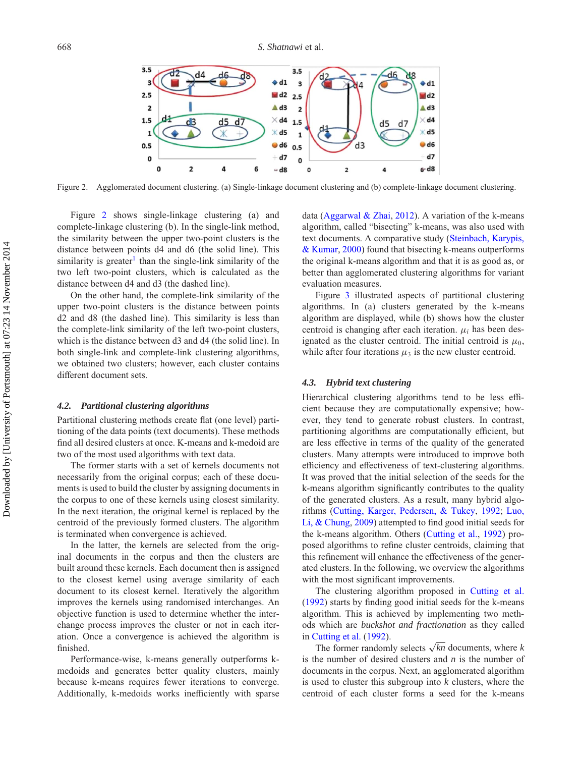

<span id="page-5-0"></span>Figure 2. Agglomerated document clustering. (a) Single-linkage document clustering and (b) complete-linkage document clustering.

Figure [2](#page-5-0) shows single-linkage clustering (a) and complete-linkage clustering (b). In the single-link method, the similarity between the upper two-point clusters is the distance between points d4 and d6 (the solid line). This similarity is greater<sup>[1](#page-12-15)</sup> than the single-link similarity of the two left two-point clusters, which is calculated as the distance between d4 and d3 (the dashed line).

On the other hand, the complete-link similarity of the upper two-point clusters is the distance between points d2 and d8 (the dashed line). This similarity is less than the complete-link similarity of the left two-point clusters, which is the distance between d3 and d4 (the solid line). In both single-link and complete-link clustering algorithms, we obtained two clusters; however, each cluster contains different document sets.

#### *4.2. Partitional clustering algorithms*

Partitional clustering methods create flat (one level) partitioning of the data points (text documents). These methods find all desired clusters at once. K-means and k-medoid are two of the most used algorithms with text data.

The former starts with a set of kernels documents not necessarily from the original corpus; each of these documents is used to build the cluster by assigning documents in the corpus to one of these kernels using closest similarity. In the next iteration, the original kernel is replaced by the centroid of the previously formed clusters. The algorithm is terminated when convergence is achieved.

In the latter, the kernels are selected from the original documents in the corpus and then the clusters are built around these kernels. Each document then is assigned to the closest kernel using average similarity of each document to its closest kernel. Iteratively the algorithm improves the kernels using randomised interchanges. An objective function is used to determine whether the interchange process improves the cluster or not in each iteration. Once a convergence is achieved the algorithm is finished.

Performance-wise, k-means generally outperforms kmedoids and generates better quality clusters, mainly because k-means requires fewer iterations to converge. Additionally, k-medoids works inefficiently with sparse data [\(Aggarwal & Zhai,](#page-12-13) [2012\)](#page-12-13). A variation of the k-means algorithm, called "bisecting" k-means, was also used with text docu[ments. A comparative study \(](#page-13-5)Steinbach, Karypis, & Kumar, [2000](#page-13-5)) found that bisecting k-means outperforms the original k-means algorithm and that it is as good as, or better than agglomerated clustering algorithms for variant evaluation measures.

Figure [3](#page-6-0) illustrated aspects of partitional clustering algorithms. In (a) clusters generated by the k-means algorithm are displayed, while (b) shows how the cluster centroid is changing after each iteration. μ*<sup>i</sup>* has been designated as the cluster centroid. The initial centroid is  $\mu_0$ , while after four iterations  $\mu_3$  is the new cluster centroid.

### *4.3. Hybrid text clustering*

Hierarchical clustering algorithms tend to be less efficient because they are computationally expensive; however, they tend to generate robust clusters. In contrast, partitioning algorithms are computationally efficient, but are less effective in terms of the quality of the generated clusters. Many attempts were introduced to improve both efficiency and effectiveness of text-clustering algorithms. It was proved that the initial selection of the seeds for the k-means algorithm significantly contributes to the quality of the generated clusters. As a result, many hybrid algorithms [\(Cutting, Karger, Pedersen, & Tukey](#page-12-16)[,](#page-12-17) [1992](#page-12-16); Luo, Li, & Chung, [2009](#page-12-17)) attempted to find good initial seeds for the k-means algorithm. Others [\(Cutting et al.](#page-12-16), [1992\)](#page-12-16) proposed algorithms to refine cluster centroids, claiming that this refinement will enhance the effectiveness of the generated clusters. In the following, we overview the algorithms with the most significant improvements.

The clustering algorithm proposed in [Cutting et al.](#page-12-16) [\(1992](#page-12-16)) starts by finding good initial seeds for the k-means algorithm. This is achieved by implementing two methods which are *buckshot and fractionation* as they called in [Cutting et al.](#page-12-16) [\(1992\)](#page-12-16).

The former randomly selects  $\sqrt{kn}$  documents, where *k* is the number of desired clusters and *n* is the number of documents in the corpus. Next, an agglomerated algorithm is used to cluster this subgroup into *k* clusters, where the centroid of each cluster forms a seed for the k-means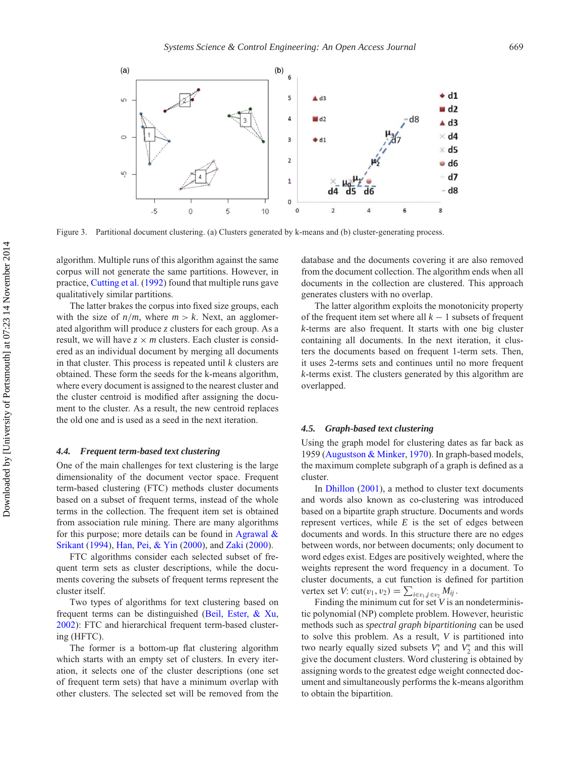

<span id="page-6-0"></span>Figure 3. Partitional document clustering. (a) Clusters generated by k-means and (b) cluster-generating process.

algorithm. Multiple runs of this algorithm against the same corpus will not generate the same partitions. However, in practice, [Cutting et al.](#page-12-16) [\(1992](#page-12-16)) found that multiple runs gave qualitatively similar partitions.

The latter brakes the corpus into fixed size groups, each with the size of  $n/m$ , where  $m > k$ . Next, an agglomerated algorithm will produce *z* clusters for each group. As a result, we will have  $z \times m$  clusters. Each cluster is considered as an individual document by merging all documents in that cluster. This process is repeated until *k* clusters are obtained. These form the seeds for the k-means algorithm, where every document is assigned to the nearest cluster and the cluster centroid is modified after assigning the document to the cluster. As a result, the new centroid replaces the old one and is used as a seed in the next iteration.

## *4.4. Frequent term-based text clustering*

One of the main challenges for text clustering is the large dimensionality of the document vector space. Frequent term-based clustering (FTC) methods cluster documents based on a subset of frequent terms, instead of the whole terms in the collection. The frequent item set is obtained from association rule mining. There are many algorithms for thi[s purpose; more details can be found in](#page-12-18) Agrawal  $\&$ Srikant [\(1994\)](#page-12-18), [Han, Pei, & Yin](#page-12-19) [\(2000](#page-12-19)), and [Zaki](#page-13-6) [\(2000](#page-13-6)).

FTC algorithms consider each selected subset of frequent term sets as cluster descriptions, while the documents covering the subsets of frequent terms represent the cluster itself.

Two types of algorithms for text clustering based on frequent terms can be distinguished [\(Beil, Ester, & Xu,](#page-12-20) [2002](#page-12-20)): FTC and hierarchical frequent term-based clustering (HFTC).

The former is a bottom-up flat clustering algorithm which starts with an empty set of clusters. In every iteration, it selects one of the cluster descriptions (one set of frequent term sets) that have a minimum overlap with other clusters. The selected set will be removed from the database and the documents covering it are also removed from the document collection. The algorithm ends when all documents in the collection are clustered. This approach generates clusters with no overlap.

The latter algorithm exploits the monotonicity property of the frequent item set where all  $k - 1$  subsets of frequent *k*-terms are also frequent. It starts with one big cluster containing all documents. In the next iteration, it clusters the documents based on frequent 1-term sets. Then, it uses 2-terms sets and continues until no more frequent *k*-terms exist. The clusters generated by this algorithm are overlapped.

## *4.5. Graph-based text clustering*

Using the graph model for clustering dates as far back as 1959 [\(Augustson & Minker](#page-12-21), [1970](#page-12-21)). In graph-based models, the maximum complete subgraph of a graph is defined as a cluster.

In [Dhillon](#page-12-22) [\(2001](#page-12-22)), a method to cluster text documents and words also known as co-clustering was introduced based on a bipartite graph structure. Documents and words represent vertices, while *E* is the set of edges between documents and words. In this structure there are no edges between words, nor between documents; only document to word edges exist. Edges are positively weighted, where the weights represent the word frequency in a document. To cluster documents, a cut function is defined for partition vertex set *V*: cut( $v_1, v_2$ ) =  $\sum_{i \in v_1, j \in v_2} M_{ij}$ .

Finding the minimum cut for set  $V$  is an nondeterministic polynomial (NP) complete problem. However, heuristic methods such as *spectral graph bipartitioning* can be used to solve this problem. As a result, *V* is partitioned into two nearly equally sized subsets *V*<sup>∗</sup> <sup>1</sup> and *V*<sup>∗</sup> <sup>2</sup> and this will give the document clusters. Word clustering is obtained by assigning words to the greatest edge weight connected document and simultaneously performs the k-means algorithm to obtain the bipartition.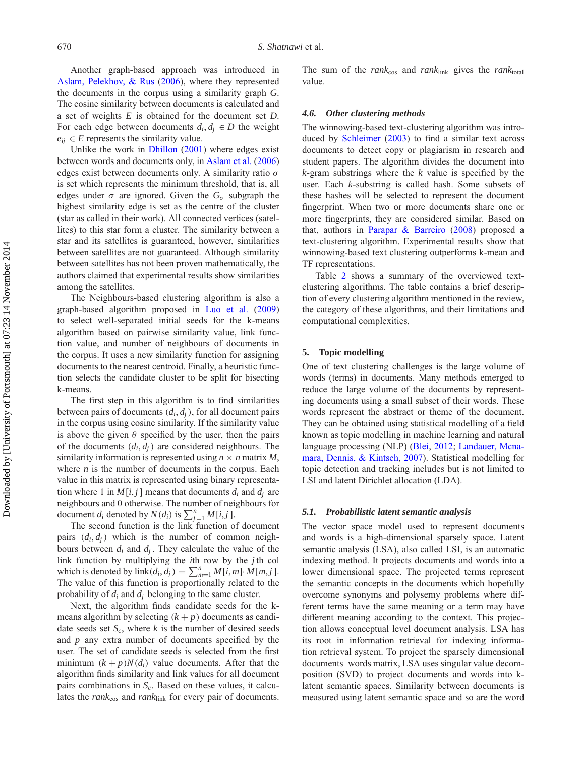Another graph-based approach was introduced in [Aslam, Pelekhov, & Rus](#page-12-23) [\(2006\)](#page-12-23), where they represented the documents in the corpus using a similarity graph *G*. The cosine similarity between documents is calculated and a set of weights *E* is obtained for the document set *D*. For each edge between documents  $d_i, d_j \in D$  the weight  $e_{ij} \in E$  represents the similarity value.

Unlike the work in [Dhillon](#page-12-22) [\(2001](#page-12-22)) where edges exist between words and documents only, in [Aslam et al.](#page-12-23) [\(2006\)](#page-12-23) edges exist between documents only. A similarity ratio  $\sigma$ is set which represents the minimum threshold, that is, all edges under  $\sigma$  are ignored. Given the  $G_{\sigma}$  subgraph the highest similarity edge is set as the centre of the cluster (star as called in their work). All connected vertices (satellites) to this star form a cluster. The similarity between a star and its satellites is guaranteed, however, similarities between satellites are not guaranteed. Although similarity between satellites has not been proven mathematically, the authors claimed that experimental results show similarities among the satellites.

The Neighbours-based clustering algorithm is also a graph-based algorithm proposed in [Luo et al.](#page-12-17) [\(2009\)](#page-12-17) to select well-separated initial seeds for the k-means algorithm based on pairwise similarity value, link function value, and number of neighbours of documents in the corpus. It uses a new similarity function for assigning documents to the nearest centroid. Finally, a heuristic function selects the candidate cluster to be split for bisecting k-means.

The first step in this algorithm is to find similarities between pairs of documents  $(d_i, d_j)$ , for all document pairs in the corpus using cosine similarity. If the similarity value is above the given  $\theta$  specified by the user, then the pairs of the documents  $(d_i, d_j)$  are considered neighbours. The similarity information is represented using  $n \times n$  matrix *M*, where *n* is the number of documents in the corpus. Each value in this matrix is represented using binary representation where 1 in  $M[i, j]$  means that documents  $d_i$  and  $d_j$  are neighbours and 0 otherwise. The number of neighbours for document *d<sub>i</sub>* denoted by  $N(d_i)$  is  $\sum_{j=1}^{n} M[i, j]$ .

The second function is the link function of document pairs  $(d_i, d_j)$  which is the number of common neighbours between  $d_i$  and  $d_j$ . They calculate the value of the link function by multiplying the *i*th row by the *j* th col which is denoted by  $\text{link}(d_i, d_j) = \sum_{m=1}^n M[i, m] \cdot M[m, j]$ . The value of this function is proportionally related to the probability of *di* and *dj* belonging to the same cluster.

Next, the algorithm finds candidate seeds for the kmeans algorithm by selecting  $(k + p)$  documents as candidate seeds set  $S_c$ , where  $k$  is the number of desired seeds and *p* any extra number of documents specified by the user. The set of candidate seeds is selected from the first minimum  $(k+p)N(d_i)$  value documents. After that the algorithm finds similarity and link values for all document pairs combinations in  $S_c$ . Based on these values, it calculates the *rank*<sub>cos</sub> and *rank*link for every pair of documents.

The sum of the *rank*<sub>cos</sub> and *rank*<sub>link</sub> gives the *rank*<sub>total</sub> value.

## *4.6. Other clustering methods*

The winnowing-based text-clustering algorithm was introduced by [Schleimer](#page-12-24) [\(2003\)](#page-12-24) to find a similar text across documents to detect copy or plagiarism in research and student papers. The algorithm divides the document into *k*-gram substrings where the *k* value is specified by the user. Each *k*-substring is called hash. Some subsets of these hashes will be selected to represent the document fingerprint. When two or more documents share one or more fingerprints, they are considered similar. Based on that, authors in [Parapar & Barreiro](#page-12-25) [\(2008](#page-12-25)) proposed a text-clustering algorithm. Experimental results show that winnowing-based text clustering outperforms k-mean and TF representations.

Table [2](#page-8-0) shows a summary of the overviewed textclustering algorithms. The table contains a brief description of every clustering algorithm mentioned in the review, the category of these algorithms, and their limitations and computational complexities.

### <span id="page-7-0"></span>**5. Topic modelling**

One of text clustering challenges is the large volume of words (terms) in documents. Many methods emerged to reduce the large volume of the documents by representing documents using a small subset of their words. These words represent the abstract or theme of the document. They can be obtained using statistical modelling of a field known as topic modelling in machine learning and natural language processing (N[LP\)](#page-12-27) [\(Blei](#page-12-26)[,](#page-12-27) [2012;](#page-12-26) Landauer, Mcnamara, Dennis, & Kintsch, [2007\)](#page-12-27). Statistical modelling for topic detection and tracking includes but is not limited to LSI and latent Dirichlet allocation (LDA).

### *5.1. Probabilistic latent semantic analysis*

The vector space model used to represent documents and words is a high-dimensional sparsely space. Latent semantic analysis (LSA), also called LSI, is an automatic indexing method. It projects documents and words into a lower dimensional space. The projected terms represent the semantic concepts in the documents which hopefully overcome synonyms and polysemy problems where different terms have the same meaning or a term may have different meaning according to the context. This projection allows conceptual level document analysis. LSA has its root in information retrieval for indexing information retrieval system. To project the sparsely dimensional documents–words matrix, LSA uses singular value decomposition (SVD) to project documents and words into klatent semantic spaces. Similarity between documents is measured using latent semantic space and so are the word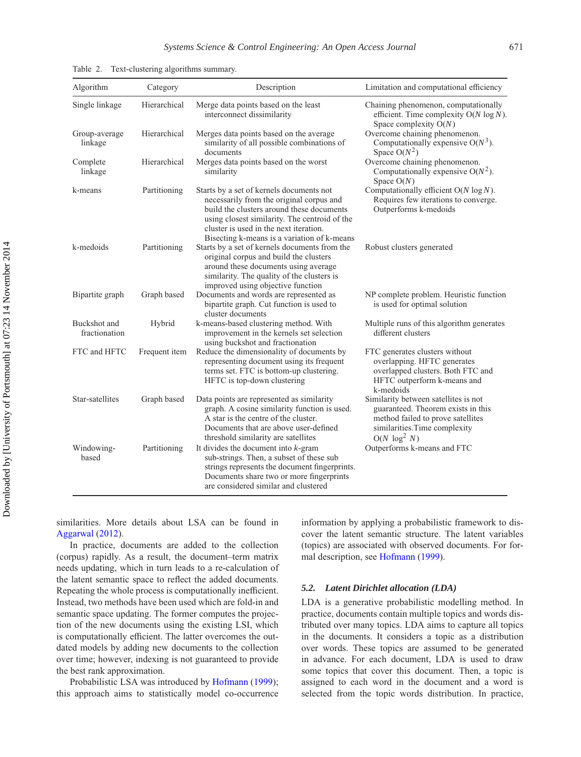| Algorithm                     | Category      | Description                                                                                                                                                                                                                                                                 | Limitation and computational efficiency                                                                                                                             |
|-------------------------------|---------------|-----------------------------------------------------------------------------------------------------------------------------------------------------------------------------------------------------------------------------------------------------------------------------|---------------------------------------------------------------------------------------------------------------------------------------------------------------------|
| Single linkage                | Hierarchical  | Merge data points based on the least<br>interconnect dissimilarity                                                                                                                                                                                                          | Chaining phenomenon, computationally<br>efficient. Time complexity $O(N \log N)$ .<br>Space complexity $O(N)$                                                       |
| Group-average<br>linkage      | Hierarchical  | Merges data points based on the average<br>similarity of all possible combinations of<br>documents                                                                                                                                                                          | Overcome chaining phenomenon.<br>Computationally expensive $O(N^3)$ .<br>Space $O(N^2)$                                                                             |
| Complete<br>linkage           | Hierarchical  | Merges data points based on the worst<br>similarity                                                                                                                                                                                                                         | Overcome chaining phenomenon.<br>Computationally expensive $O(N^2)$ .<br>Space $O(N)$                                                                               |
| k-means                       | Partitioning  | Starts by a set of kernels documents not<br>necessarily from the original corpus and<br>build the clusters around these documents<br>using closest similarity. The centroid of the<br>cluster is used in the next iteration.<br>Bisecting k-means is a variation of k-means | Computationally efficient $O(N \log N)$ .<br>Requires few iterations to converge.<br>Outperforms k-medoids                                                          |
| k-medoids                     | Partitioning  | Starts by a set of kernels documents from the<br>original corpus and build the clusters<br>around these documents using average<br>similarity. The quality of the clusters is<br>improved using objective function                                                          | Robust clusters generated                                                                                                                                           |
| Bipartite graph               | Graph based   | Documents and words are represented as<br>bipartite graph. Cut function is used to<br>cluster documents                                                                                                                                                                     | NP complete problem. Heuristic function<br>is used for optimal solution                                                                                             |
| Buckshot and<br>fractionation | Hybrid        | k-means-based clustering method. With<br>improvement in the kernels set selection<br>using buckshot and fractionation                                                                                                                                                       | Multiple runs of this algorithm generates<br>different clusters                                                                                                     |
| FTC and HFTC                  | Frequent item | Reduce the dimensionality of documents by<br>representing document using its frequent<br>terms set. FTC is bottom-up clustering.<br>HFTC is top-down clustering                                                                                                             | FTC generates clusters without<br>overlapping. HFTC generates<br>overlapped clusters. Both FTC and<br>HFTC outperform k-means and<br>k-medoids                      |
| Star-satellites               | Graph based   | Data points are represented as similarity<br>graph. A cosine similarity function is used.<br>A star is the centre of the cluster.<br>Documents that are above user-defined<br>threshold similarity are satellites                                                           | Similarity between satellites is not<br>guaranteed. Theorem exists in this<br>method failed to prove satellites<br>similarities. Time complexity<br>$O(N \log^2 N)$ |
| Windowing-<br>based           | Partitioning  | It divides the document into $k$ -gram<br>sub-strings. Then, a subset of these sub<br>strings represents the document fingerprints.<br>Documents share two or more fingerprints<br>are considered similar and clustered                                                     | Outperforms k-means and FTC                                                                                                                                         |

<span id="page-8-0"></span>Table 2. Text-clustering algorithms summary.

similarities. More details about LSA can be found in [Aggarwal](#page-12-12) [\(2012](#page-12-12)).

In practice, documents are added to the collection (corpus) rapidly. As a result, the document–term matrix needs updating, which in turn leads to a re-calculation of the latent semantic space to reflect the added documents. Repeating the whole process is computationally inefficient. Instead, two methods have been used which are fold-in and semantic space updating. The former computes the projection of the new documents using the existing LSI, which is computationally efficient. The latter overcomes the outdated models by adding new documents to the collection over time; however, indexing is not guaranteed to provide the best rank approximation.

Probabilistic LSA was introduced by [Hofmann](#page-12-28) [\(1999](#page-12-28)); this approach aims to statistically model co-occurrence information by applying a probabilistic framework to discover the latent semantic structure. The latent variables (topics) are associated with observed documents. For formal description, see [Hofmann](#page-12-28) [\(1999\)](#page-12-28).

#### *5.2. Latent Dirichlet allocation (LDA)*

LDA is a generative probabilistic modelling method. In practice, documents contain multiple topics and words distributed over many topics. LDA aims to capture all topics in the documents. It considers a topic as a distribution over words. These topics are assumed to be generated in advance. For each document, LDA is used to draw some topics that cover this document. Then, a topic is assigned to each word in the document and a word is selected from the topic words distribution. In practice,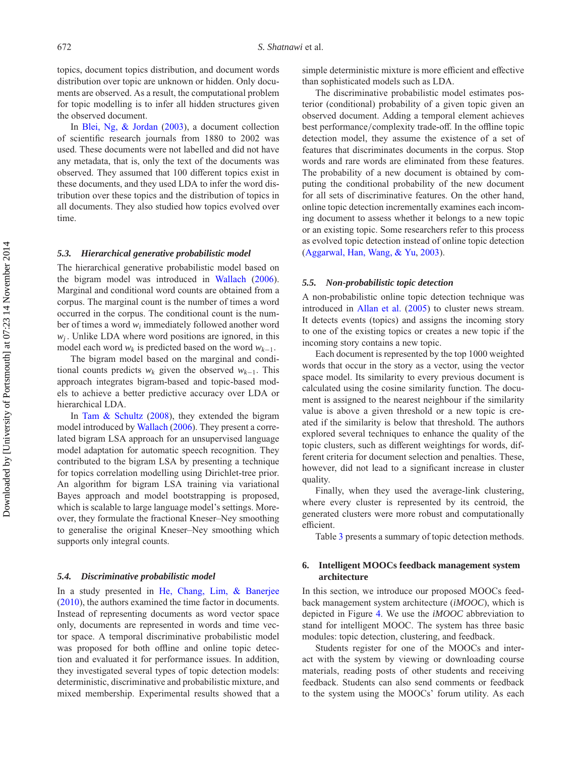topics, document topics distribution, and document words distribution over topic are unknown or hidden. Only documents are observed. As a result, the computational problem for topic modelling is to infer all hidden structures given the observed document.

In [Blei, Ng, & Jordan](#page-12-29) [\(2003\)](#page-12-29), a document collection of scientific research journals from 1880 to 2002 was used. These documents were not labelled and did not have any metadata, that is, only the text of the documents was observed. They assumed that 100 different topics exist in these documents, and they used LDA to infer the word distribution over these topics and the distribution of topics in all documents. They also studied how topics evolved over time.

## *5.3. Hierarchical generative probabilistic model*

The hierarchical generative probabilistic model based on the bigram model was introduced in [Wallach](#page-13-7) [\(2006](#page-13-7)). Marginal and conditional word counts are obtained from a corpus. The marginal count is the number of times a word occurred in the corpus. The conditional count is the number of times a word *wi* immediately followed another word  $w_i$ . Unlike LDA where word positions are ignored, in this model each word *wk* is predicted based on the word *wk*−1.

The bigram model based on the marginal and conditional counts predicts *wk* given the observed *wk*−1. This approach integrates bigram-based and topic-based models to achieve a better predictive accuracy over LDA or hierarchical LDA.

In [Tam & Schultz](#page-13-8) [\(2008](#page-13-8)), they extended the bigram model introduced by [Wallach](#page-13-7) [\(2006\)](#page-13-7). They present a correlated bigram LSA approach for an unsupervised language model adaptation for automatic speech recognition. They contributed to the bigram LSA by presenting a technique for topics correlation modelling using Dirichlet-tree prior. An algorithm for bigram LSA training via variational Bayes approach and model bootstrapping is proposed, which is scalable to large language model's settings. Moreover, they formulate the fractional Kneser–Ney smoothing to generalise the original Kneser–Ney smoothing which supports only integral counts.

#### *5.4. Discriminative probabilistic model*

In a study presented in [He, Chang, Lim, & Banerjee](#page-12-30) [\(2010](#page-12-30)), the authors examined the time factor in documents. Instead of representing documents as word vector space only, documents are represented in words and time vector space. A temporal discriminative probabilistic model was proposed for both offline and online topic detection and evaluated it for performance issues. In addition, they investigated several types of topic detection models: deterministic, discriminative and probabilistic mixture, and mixed membership. Experimental results showed that a

simple deterministic mixture is more efficient and effective than sophisticated models such as LDA.

The discriminative probabilistic model estimates posterior (conditional) probability of a given topic given an observed document. Adding a temporal element achieves best performance/complexity trade-off. In the offline topic detection model, they assume the existence of a set of features that discriminates documents in the corpus. Stop words and rare words are eliminated from these features. The probability of a new document is obtained by computing the conditional probability of the new document for all sets of discriminative features. On the other hand, online topic detection incrementally examines each incoming document to assess whether it belongs to a new topic or an existing topic. Some researchers refer to this process as evolved topic detection instead of online topic detection [\(Aggarwal, Han, Wang, & Yu](#page-12-31), [2003](#page-12-31)).

## *5.5. Non-probabilistic topic detection*

A non-probabilistic online topic detection technique was introduced in [Allan et al.](#page-12-32) [\(2005](#page-12-32)) to cluster news stream. It detects events (topics) and assigns the incoming story to one of the existing topics or creates a new topic if the incoming story contains a new topic.

Each document is represented by the top 1000 weighted words that occur in the story as a vector, using the vector space model. Its similarity to every previous document is calculated using the cosine similarity function. The document is assigned to the nearest neighbour if the similarity value is above a given threshold or a new topic is created if the similarity is below that threshold. The authors explored several techniques to enhance the quality of the topic clusters, such as different weightings for words, different criteria for document selection and penalties. These, however, did not lead to a significant increase in cluster quality.

Finally, when they used the average-link clustering, where every cluster is represented by its centroid, the generated clusters were more robust and computationally efficient.

Table [3](#page-10-0) presents a summary of topic detection methods.

## <span id="page-9-0"></span>**6. Intelligent MOOCs feedback management system architecture**

In this section, we introduce our proposed MOOCs feedback management system architecture (*iMOOC*), which is depicted in Figure [4.](#page-10-1) We use the *iMOOC* abbreviation to stand for intelligent MOOC. The system has three basic modules: topic detection, clustering, and feedback.

Students register for one of the MOOCs and interact with the system by viewing or downloading course materials, reading posts of other students and receiving feedback. Students can also send comments or feedback to the system using the MOOCs' forum utility. As each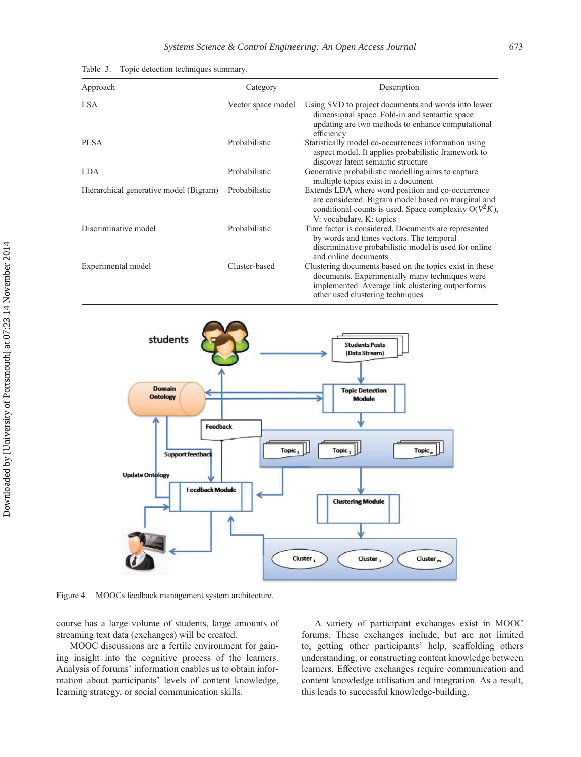| Approach                               | Category           | Description                                                                                                                                                                                       |
|----------------------------------------|--------------------|---------------------------------------------------------------------------------------------------------------------------------------------------------------------------------------------------|
| <b>LSA</b>                             | Vector space model | Using SVD to project documents and words into lower<br>dimensional space. Fold-in and semantic space<br>updating are two methods to enhance computational<br>efficiency                           |
| <b>PLSA</b>                            | Probabilistic      | Statistically model co-occurrences information using<br>aspect model. It applies probabilistic framework to<br>discover latent semantic structure                                                 |
| <b>LDA</b>                             | Probabilistic      | Generative probabilistic modelling aims to capture<br>multiple topics exist in a document                                                                                                         |
| Hierarchical generative model (Bigram) | Probabilistic      | Extends LDA where word position and co-occurrence<br>are considered. Bigram model based on marginal and<br>conditional counts is used. Space complexity $O(V^2 K)$ ,<br>V: vocabulary, K: topics  |
| Discriminative model                   | Probabilistic      | Time factor is considered. Documents are represented<br>by words and times vectors. The temporal<br>discriminative probabilistic model is used for online<br>and online documents                 |
| Experimental model                     | Cluster-based      | Clustering documents based on the topics exist in these<br>documents. Experimentally many techniques were<br>implemented. Average link clustering outperforms<br>other used clustering techniques |

<span id="page-10-0"></span>



<span id="page-10-1"></span>Figure 4. MOOCs feedback management system architecture.

course has a large volume of students, large amounts of streaming text data (exchanges) will be created.

MOOC discussions are a fertile environment for gaining insight into the cognitive process of the learners. Analysis of forums' information enables us to obtain information about participants' levels of content knowledge, learning strategy, or social communication skills.

A variety of participant exchanges exist in MOOC forums. These exchanges include, but are not limited to, getting other participants' help, scaffolding others understanding, or constructing content knowledge between learners. Effective exchanges require communication and content knowledge utilisation and integration. As a result, this leads to successful knowledge-building.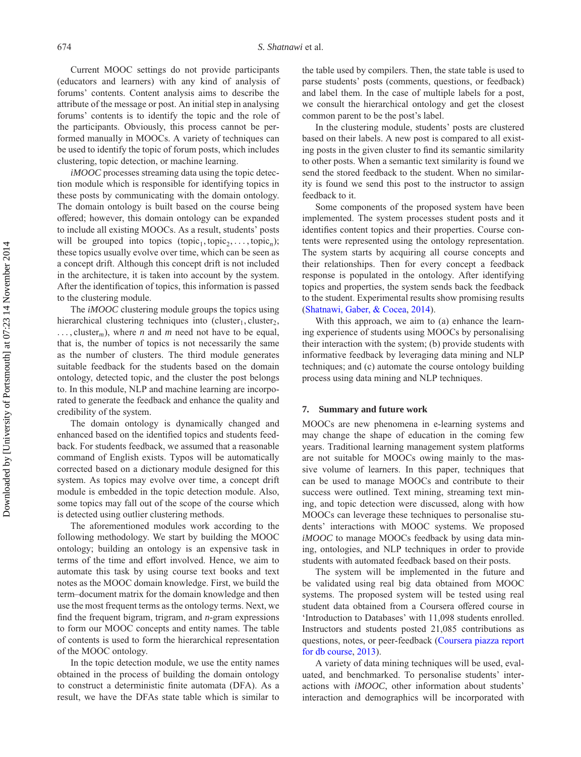Current MOOC settings do not provide participants (educators and learners) with any kind of analysis of forums' contents. Content analysis aims to describe the attribute of the message or post. An initial step in analysing forums' contents is to identify the topic and the role of the participants. Obviously, this process cannot be performed manually in MOOCs. A variety of techniques can be used to identify the topic of forum posts, which includes clustering, topic detection, or machine learning.

*iMOOC* processes streaming data using the topic detection module which is responsible for identifying topics in these posts by communicating with the domain ontology. The domain ontology is built based on the course being offered; however, this domain ontology can be expanded to include all existing MOOCs. As a result, students' posts will be grouped into topics (topic<sub>1</sub>, topic<sub>2</sub>, ..., topic<sub>n</sub>); these topics usually evolve over time, which can be seen as a concept drift. Although this concept drift is not included in the architecture, it is taken into account by the system. After the identification of topics, this information is passed to the clustering module.

The *iMOOC* clustering module groups the topics using hierarchical clustering techniques into (cluster<sub>1</sub>, cluster<sub>2</sub>, ... , cluster*m*), where *n* and *m* need not have to be equal, that is, the number of topics is not necessarily the same as the number of clusters. The third module generates suitable feedback for the students based on the domain ontology, detected topic, and the cluster the post belongs to. In this module, NLP and machine learning are incorporated to generate the feedback and enhance the quality and credibility of the system.

The domain ontology is dynamically changed and enhanced based on the identified topics and students feedback. For students feedback, we assumed that a reasonable command of English exists. Typos will be automatically corrected based on a dictionary module designed for this system. As topics may evolve over time, a concept drift module is embedded in the topic detection module. Also, some topics may fall out of the scope of the course which is detected using outlier clustering methods.

The aforementioned modules work according to the following methodology. We start by building the MOOC ontology; building an ontology is an expensive task in terms of the time and effort involved. Hence, we aim to automate this task by using course text books and text notes as the MOOC domain knowledge. First, we build the term–document matrix for the domain knowledge and then use the most frequent terms as the ontology terms. Next, we find the frequent bigram, trigram, and *n*-gram expressions to form our MOOC concepts and entity names. The table of contents is used to form the hierarchical representation of the MOOC ontology.

In the topic detection module, we use the entity names obtained in the process of building the domain ontology to construct a deterministic finite automata (DFA). As a result, we have the DFAs state table which is similar to

the table used by compilers. Then, the state table is used to parse students' posts (comments, questions, or feedback) and label them. In the case of multiple labels for a post, we consult the hierarchical ontology and get the closest common parent to be the post's label.

In the clustering module, students' posts are clustered based on their labels. A new post is compared to all existing posts in the given cluster to find its semantic similarity to other posts. When a semantic text similarity is found we send the stored feedback to the student. When no similarity is found we send this post to the instructor to assign feedback to it.

Some components of the proposed system have been implemented. The system processes student posts and it identifies content topics and their properties. Course contents were represented using the ontology representation. The system starts by acquiring all course concepts and their relationships. Then for every concept a feedback response is populated in the ontology. After identifying topics and properties, the system sends back the feedback to the student. Experimental results show promising results [\(Shatnawi, Gaber, & Cocea,](#page-12-33) [2014\)](#page-12-33).

With this approach, we aim to (a) enhance the learning experience of students using MOOCs by personalising their interaction with the system; (b) provide students with informative feedback by leveraging data mining and NLP techniques; and (c) automate the course ontology building process using data mining and NLP techniques.

## <span id="page-11-0"></span>**7. Summary and future work**

MOOCs are new phenomena in e-learning systems and may change the shape of education in the coming few years. Traditional learning management system platforms are not suitable for MOOCs owing mainly to the massive volume of learners. In this paper, techniques that can be used to manage MOOCs and contribute to their success were outlined. Text mining, streaming text mining, and topic detection were discussed, along with how MOOCs can leverage these techniques to personalise students' interactions with MOOC systems. We proposed *iMOOC* to manage MOOCs feedback by using data mining, ontologies, and NLP techniques in order to provide students with automated feedback based on their posts.

The system will be implemented in the future and be validated using real big data obtained from MOOC systems. The proposed system will be tested using real student data obtained from a Coursera offered course in 'Introduction to Databases' with 11,098 students enrolled. Instructors and students posted 21,085 contributions as questions, no[tes, or peer-feedback \(](#page-12-34)Coursera piazza report for db course, [2013\)](#page-12-34).

A variety of data mining techniques will be used, evaluated, and benchmarked. To personalise students' interactions with *iMOOC*, other information about students' interaction and demographics will be incorporated with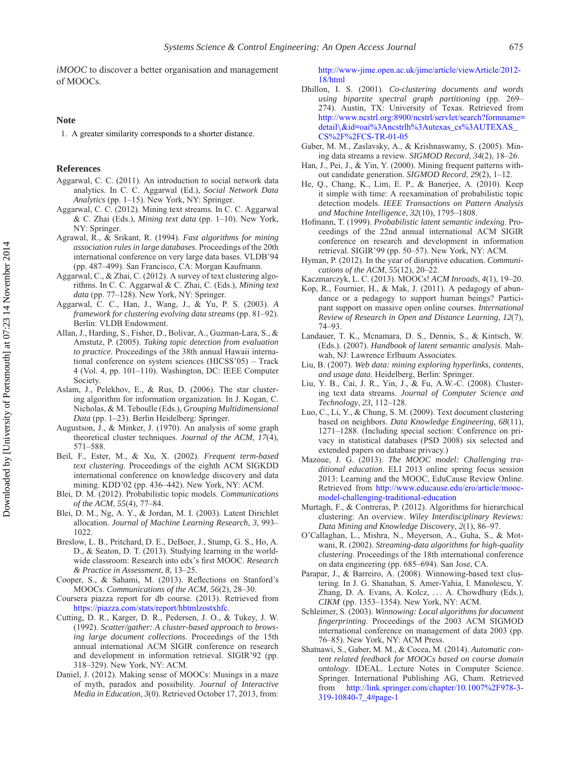*iMOOC* to discover a better organisation and management of MOOCs.

## **Note**

<span id="page-12-15"></span>1. A greater similarity corresponds to a shorter distance.

#### **References**

- <span id="page-12-1"></span>Aggarwal, C. C. (2011). An introduction to social network data analytics. In C. C. Aggarwal (Ed.), *Social Network Data Analytics* (pp. 1–15). New York, NY: Springer.
- <span id="page-12-12"></span>Aggarwal, C. C. (2012). Mining text streams. In C. C. Aggarwal & C. Zhai (Eds.), *Mining text data* (pp. 1–10). New York, NY: Springer.
- <span id="page-12-18"></span>Agrawal, R., & Srikant, R. (1994). *Fast algorithms for mining association rules in large databases*. Proceedings of the 20th international conference on very large data bases. VLDB'94 (pp. 487–499). San Francisco, CA: Morgan Kaufmann.
- <span id="page-12-13"></span>Aggarwal, C., & Zhai, C. (2012). A survey of text clustering algorithms. In C. C. Aggarwal & C. Zhai, C. (Eds.), *Mining text data* (pp. 77–128). New York, NY: Springer.
- <span id="page-12-31"></span>Aggarwal, C. C., Han, J., Wang, J., & Yu, P. S. (2003). *A framework for clustering evolving data streams* (pp. 81–92). Berlin: VLDB Endowment.
- <span id="page-12-32"></span>Allan, J., Harding, S., Fisher, D., Bolivar, A., Guzman-Lara, S., & Amstutz, P. (2005). *Taking topic detection from evaluation to practice*. Proceedings of the 38th annual Hawaii international conference on system sciences (HICSS'05) – Track 4 (Vol. 4, pp. 101–110). Washington, DC: IEEE Computer Society.
- <span id="page-12-23"></span>Aslam, J., Pelekhov, E., & Rus, D. (2006). The star clustering algorithm for information organization. In J. Kogan, C. Nicholas, & M. Teboulle (Eds.), *Grouping Multidimensional Data* (pp. 1–23). Berlin Heidelberg: Springer.
- <span id="page-12-21"></span>Augustson, J., & Minker, J. (1970). An analysis of some graph theoretical cluster techniques. *Journal of the ACM*, *17*(4), 571–588.
- <span id="page-12-20"></span>Beil, F., Ester, M., & Xu, X. (2002). *Frequent term-based text clustering*. Proceedings of the eighth ACM SIGKDD international conference on knowledge discovery and data mining. KDD'02 (pp. 436–442). New York, NY: ACM.
- <span id="page-12-26"></span>Blei, D. M. (2012). Probabilistic topic models. *Communications of the ACM*, *55*(4), 77–84.
- <span id="page-12-29"></span>Blei, D. M., Ng, A. Y., & Jordan, M. I. (2003). Latent Dirichlet allocation. *Journal of Machine Learning Research*, *3*, 993– 1022.
- <span id="page-12-11"></span>Breslow, L. B., Pritchard, D. E., DeBoer, J., Stump, G. S., Ho, A. D., & Seaton, D. T. (2013). Studying learning in the worldwide classroom: Research into edx's first MOOC. *Research & Practice in Assessment*, *8*, 13–25.
- <span id="page-12-8"></span>Cooper, S., & Sahami, M. (2013). Reflections on Stanford's MOOCs. *Communications of the ACM*, *56*(2), 28–30.
- <span id="page-12-34"></span>Coursera piazza report for db course. (2013). Retrieved from [https://piazza.com/stats/report/hbtmlzostxhfc.](https://piazza.com/stats/report/hbtmlzostxhfc)
- <span id="page-12-16"></span>Cutting, D. R., Karger, D. R., Pedersen, J. O., & Tukey, J. W. (1992). *Scatter/gather: A cluster-based approach to browsing large document collections*. Proceedings of the 15th annual international ACM SIGIR conference on research and development in information retrieval. SIGIR'92 (pp. 318–329). New York, NY: ACM.
- <span id="page-12-5"></span>Daniel, J. (2012). Making sense of MOOCs: Musings in a maze of myth, paradox and possibility. *Journal of Interactive Media in Education*, *3*(0). Retrieved October 17, 2013, from:

[http://www-jime.open.ac.uk/jime/article/viewArticle/2012-](http://www-jime.open.ac.uk/jime/article/viewArticle/2012-18/html) [18/html](http://www-jime.open.ac.uk/jime/article/viewArticle/2012-18/html)

- <span id="page-12-22"></span>Dhillon, I. S. (2001). *Co-clustering documents and words using bipartite spectral graph partitioning* (pp. 269– 274). Austin, TX: University of Texas. Retrieved from [http://www.ncstrl.org:8900/ncstrl/servlet/search?formname=](http://www.ncstrl.org:8900/ncstrl/servlet/search?formname=detail\&id=oai%3Ancstrlh%3Autexas_cs%3AUTEXAS_CS%2F%2FCS-TR-01-05) detail\[&id=oai%3Ancstrlh%3Autexas\\_cs%3AUTEXAS\\_](http://www.ncstrl.org:8900/ncstrl/servlet/search?formname=detail\&id=oai%3Ancstrlh%3Autexas_cs%3AUTEXAS_CS%2F%2FCS-TR-01-05) [CS%2F%2FCS-TR-01-05](http://www.ncstrl.org:8900/ncstrl/servlet/search?formname=detail\&id=oai%3Ancstrlh%3Autexas_cs%3AUTEXAS_CS%2F%2FCS-TR-01-05)
- <span id="page-12-2"></span>Gaber, M. M., Zaslavsky, A., & Krishnaswamy, S. (2005). Mining data streams a review. *SIGMOD Record*, *34*(2), 18–26.
- <span id="page-12-19"></span>Han, J., Pei, J., & Yin, Y. (2000). Mining frequent patterns without candidate generation. *SIGMOD Record*, *29*(2), 1–12.
- <span id="page-12-30"></span>He, Q., Chang, K., Lim, E. P., & Banerjee, A. (2010). Keep it simple with time: A reexamination of probabilistic topic detection models. *IEEE Transactions on Pattern Analysis and Machine Intelligence*, *32*(10), 1795–1808.
- <span id="page-12-28"></span>Hofmann, T. (1999). *Probabilistic latent semantic indexing*. Proceedings of the 22nd annual international ACM SIGIR conference on research and development in information retrieval. SIGIR'99 (pp. 50–57). New York, NY: ACM.
- <span id="page-12-9"></span>Hyman, P. (2012). In the year of disruptive education. *Communications of the ACM*, *55*(12), 20–22.
- <span id="page-12-10"></span>Kaczmarczyk, L. C. (2013). MOOCs! *ACM Inroads*, *4*(1), 19–20.
- <span id="page-12-4"></span>Kop, R., Fournier, H., & Mak, J. (2011). A pedagogy of abundance or a pedagogy to support human beings? Participant support on massive open online courses. *International Review of Research in Open and Distance Learning*, *12*(7), 74–93.
- <span id="page-12-27"></span>Landauer, T. K., Mcnamara, D. S., Dennis, S., & Kintsch, W. (Eds.). (2007). *Handbook of latent semantic analysis*. Mahwah, NJ: Lawrence Erlbaum Associates.
- <span id="page-12-0"></span>Liu, B. (2007). *Web data: mining exploring hyperlinks, contents, and usage data*. Heidelberg, Berlin: Springer.
- <span id="page-12-6"></span>Liu, Y. B., Cai, J. R., Yin, J., & Fu, A.W.-C. (2008). Clustering text data streams. *Journal of Computer Science and Technology*, *23*, 112–128.
- <span id="page-12-17"></span>Luo, C., Li, Y., & Chung, S. M. (2009). Text document clustering based on neighbors. *Data Knowledge Engineering*, *68*(11), 1271–1288. (Including special section: Conference on privacy in statistical databases (PSD 2008) six selected and extended papers on database privacy.)
- <span id="page-12-7"></span>Mazoue, J. G. (2013). *The MOOC model: Challenging traditional education*. ELI 2013 online spring focus session 2013: Learning and the MOOC, EduCause Review Online. Retrieved from [http://www.educause.edu/ero/article/mooc](http://www.educause.edu/ero/article/mooc-model-challenging-traditional-education)[model-challenging-traditional-education](http://www.educause.edu/ero/article/mooc-model-challenging-traditional-education)
- <span id="page-12-14"></span>Murtagh, F., & Contreras, P. (2012). Algorithms for hierarchical clustering: An overview. *Wiley Interdisciplinary Reviews: Data Mining and Knowledge Discovery*, *2*(1), 86–97.
- <span id="page-12-3"></span>O'Callaghan, L., Mishra, N., Meyerson, A., Guha, S., & Motwani, R. (2002). *Streaming-data algorithms for high-quality clustering*. Proceedings of the 18th international conference on data engineering (pp. 685–694). San Jose, CA.
- <span id="page-12-25"></span>Parapar, J., & Barreiro, A. (2008). Winnowing-based text clustering. In J. G. Shanahan, S. Amer-Yahia, I. Manolescu, Y. Zhang, D. A. Evans, A. Kolcz, ... A. Chowdhury (Eds.), *CIKM* (pp. 1353–1354). New York, NY: ACM.
- <span id="page-12-24"></span>Schleimer, S. (2003). *Winnowing: Local algorithms for document fingerprinting*. Proceedings of the 2003 ACM SIGMOD international conference on management of data 2003 (pp. 76–85). New York, NY: ACM Press.
- <span id="page-12-33"></span>Shatnawi, S., Gaber, M. M., & Cocea, M. (2014). *Automatic content related feedback for MOOCs based on course domain ontology*. IDEAL. Lecture Notes in Computer Science. Springer. International Publishing AG, Cham. Retrieved from [http://link.springer.com/chapter/10.1007%2F978-3-](http://link.springer.com/chapter/10.1007%2F978-3-319-10840-7_4#page-1) [319-10840-7\\_4#page-1](http://link.springer.com/chapter/10.1007%2F978-3-319-10840-7_4#page-1)